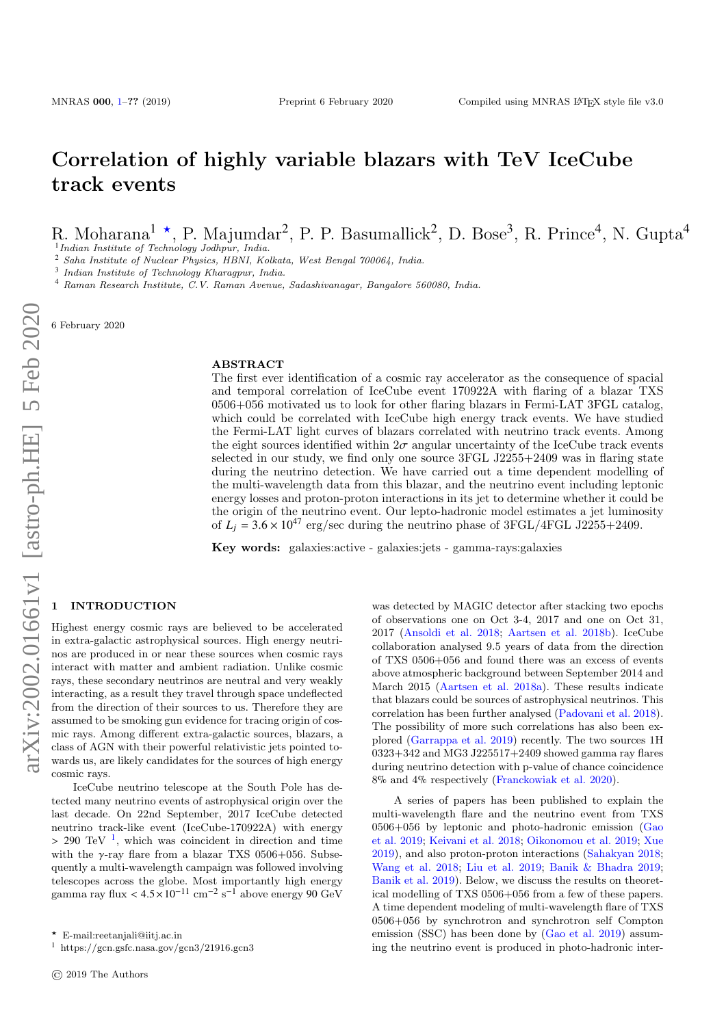# Correlation of highly variable blazars with TeV IceCube track events

R. Moharana<sup>1</sup> \*, P. Majumdar<sup>2</sup>, P. P. Basumallick<sup>2</sup>, D. Bose<sup>3</sup>, R. Prince<sup>4</sup>, N. Gupta<sup>4</sup>

<sup>1</sup> Indian Institute of Technology Jodhpur, India.

<sup>2</sup> Saha Institute of Nuclear Physics, HBNI, Kolkata, West Bengal 700064, India.

<sup>3</sup> Indian Institute of Technology Kharagpur, India.

<sup>4</sup> Raman Research Institute, C.V. Raman Avenue, Sadashivanagar, Bangalore 560080, India.

6 February 2020

#### ABSTRACT

The first ever identification of a cosmic ray accelerator as the consequence of spacial and temporal correlation of IceCube event 170922A with flaring of a blazar TXS 0506+056 motivated us to look for other flaring blazars in Fermi-LAT 3FGL catalog, which could be correlated with IceCube high energy track events. We have studied the Fermi-LAT light curves of blazars correlated with neutrino track events. Among the eight sources identified within  $2\sigma$  angular uncertainty of the IceCube track events selected in our study, we find only one source 3FGL J2255+2409 was in flaring state during the neutrino detection. We have carried out a time dependent modelling of the multi-wavelength data from this blazar, and the neutrino event including leptonic energy losses and proton-proton interactions in its jet to determine whether it could be the origin of the neutrino event. Our lepto-hadronic model estimates a jet luminosity of  $L_i = 3.6 \times 10^{47}$  erg/sec during the neutrino phase of 3FGL/4FGL J2255+2409.

Key words: galaxies:active - galaxies:jets - gamma-rays:galaxies

## <span id="page-0-0"></span>**INTRODUCTION**

Highest energy cosmic rays are believed to be accelerated in extra-galactic astrophysical sources. High energy neutrinos are produced in or near these sources when cosmic rays interact with matter and ambient radiation. Unlike cosmic rays, these secondary neutrinos are neutral and very weakly interacting, as a result they travel through space undeflected from the direction of their sources to us. Therefore they are assumed to be smoking gun evidence for tracing origin of cosmic rays. Among different extra-galactic sources, blazars, a class of AGN with their powerful relativistic jets pointed towards us, are likely candidates for the sources of high energy cosmic rays.

IceCube neutrino telescope at the South Pole has detected many neutrino events of astrophysical origin over the last decade. On 22nd September, 2017 IceCube detected neutrino track-like event (IceCube-170922A) with energy  $> 290 \text{ TeV}^{-1}$  $> 290 \text{ TeV}^{-1}$  $> 290 \text{ TeV}^{-1}$ , which was coincident in direction and time<br>with the  $\chi$  ray flare from a blazer TXS 0506+056. Subset with the  $\gamma$ -ray flare from a blazar TXS 0506+056. Subsequently a multi-wavelength campaign was followed involving telescopes across the globe. Most importantly high energy gamma ray flux <  $4.5 \times 10^{-11}$  cm<sup>-2</sup> s<sup>-1</sup> above energy 90 GeV

was detected by MAGIC detector after stacking two epochs of observations one on Oct 3-4, 2017 and one on Oct 31, 2017 [\(Ansoldi et al.](#page-4-0) [2018;](#page-4-0) [Aartsen et al.](#page-4-1) [2018b\)](#page-4-1). IceCube collaboration analysed 9.5 years of data from the direction of TXS 0506+056 and found there was an excess of events above atmospheric background between September 2014 and March 2015 [\(Aartsen et al.](#page-4-2) [2018a\)](#page-4-2). These results indicate that blazars could be sources of astrophysical neutrinos. This correlation has been further analysed [\(Padovani et al.](#page-4-3) [2018\)](#page-4-3). The possibility of more such correlations has also been explored [\(Garrappa et al.](#page-4-4) [2019\)](#page-4-4) recently. The two sources 1H 0323+342 and MG3 J225517+2409 showed gamma ray flares during neutrino detection with p-value of chance coincidence 8% and 4% respectively [\(Franckowiak et al.](#page-4-5) [2020\)](#page-4-5).

A series of papers has been published to explain the multi-wavelength flare and the neutrino event from TXS 0506+056 by leptonic and photo-hadronic emission [\(Gao](#page-4-6) [et al.](#page-4-6) [2019;](#page-4-6) [Keivani et al.](#page-4-7) [2018;](#page-4-7) [Oikonomou et al.](#page-4-8) [2019;](#page-4-8) [Xue](#page-4-9) [2019\)](#page-4-9), and also proton-proton interactions [\(Sahakyan](#page-4-10) [2018;](#page-4-10) [Wang et al.](#page-4-11) [2018;](#page-4-11) [Liu et al.](#page-4-12) [2019;](#page-4-12) [Banik & Bhadra](#page-4-13) [2019;](#page-4-13) [Banik et al.](#page-4-14) [2019\)](#page-4-14). Below, we discuss the results on theoretical modelling of TXS 0506+056 from a few of these papers. A time dependent modeling of multi-wavelength flare of TXS 0506+056 by synchrotron and synchrotron self Compton emission (SSC) has been done by [\(Gao et al.](#page-4-6) [2019\)](#page-4-6) assuming the neutrino event is produced in photo-hadronic inter-

 $\star$  E-mail:reetaniali@iiti.ac.in

<span id="page-0-1"></span><sup>&</sup>lt;sup>1</sup> https://gcn.gsfc.nasa.gov/gcn3/21916.gcn3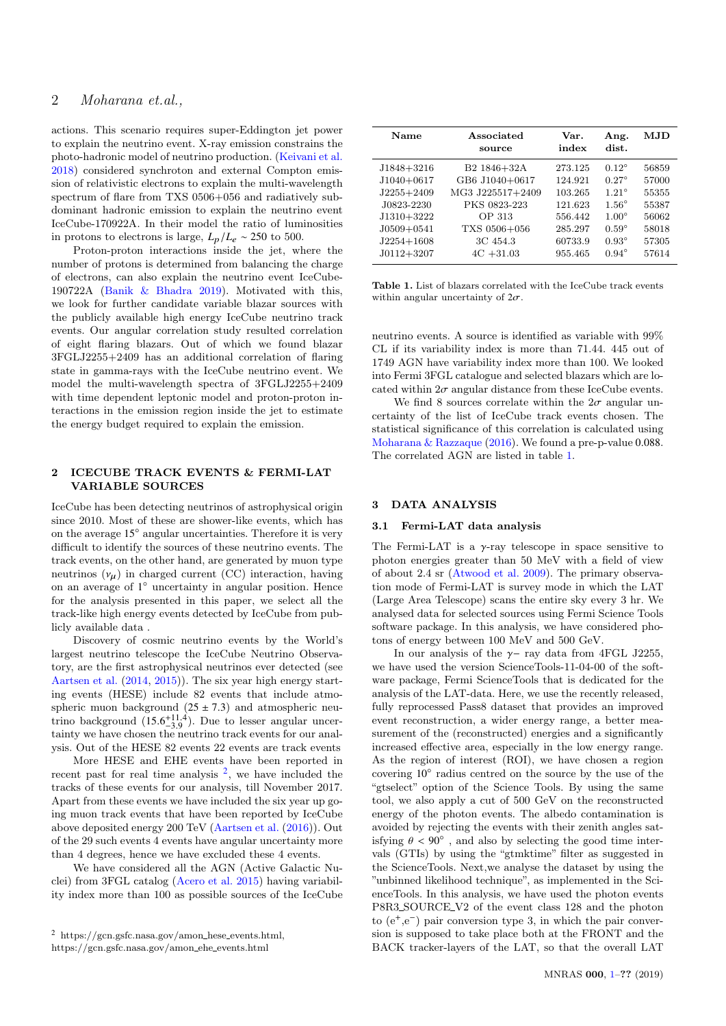actions. This scenario requires super-Eddington jet power to explain the neutrino event. X-ray emission constrains the photo-hadronic model of neutrino production. [\(Keivani et al.](#page-4-7) [2018\)](#page-4-7) considered synchroton and external Compton emission of relativistic electrons to explain the multi-wavelength spectrum of flare from TXS 0506+056 and radiatively subdominant hadronic emission to explain the neutrino event IceCube-170922A. In their model the ratio of luminosities in protons to electrons is large,  $L_p/L_e \sim 250$  to 500.

Proton-proton interactions inside the jet, where the number of protons is determined from balancing the charge of electrons, can also explain the neutrino event IceCube-190722A [\(Banik & Bhadra](#page-4-13) [2019\)](#page-4-13). Motivated with this, we look for further candidate variable blazar sources with the publicly available high energy IceCube neutrino track events. Our angular correlation study resulted correlation of eight flaring blazars. Out of which we found blazar 3FGLJ2255+2409 has an additional correlation of flaring state in gamma-rays with the IceCube neutrino event. We model the multi-wavelength spectra of 3FGLJ2255+2409 with time dependent leptonic model and proton-proton interactions in the emission region inside the jet to estimate the energy budget required to explain the emission.

## 2 ICECUBE TRACK EVENTS & FERMI-LAT VARIABLE SOURCES

IceCube has been detecting neutrinos of astrophysical origin since 2010. Most of these are shower-like events, which has on the average 15◦ angular uncertainties. Therefore it is very difficult to identify the sources of these neutrino events. The track events, on the other hand, are generated by muon type neutrinos  $(\nu_{\mu})$  in charged current (CC) interaction, having on an average of 1<sup>°</sup> uncertainty in angular position. Hence for the analysis presented in this paper, we select all the track-like high energy events detected by IceCube from publicly available data .

Discovery of cosmic neutrino events by the World's largest neutrino telescope the IceCube Neutrino Observatory, are the first astrophysical neutrinos ever detected (see [Aartsen et al.](#page-4-15) [\(2014,](#page-4-15) [2015\)](#page-4-16)). The six year high energy starting events (HESE) include 82 events that include atmospheric muon background  $(25 \pm 7.3)$  and atmospheric neutrino background  $(15.6^{+11.4}_{-3.9})$ . Due to lesser angular uncer-<br>tainty we have chosen the neutrino track events for our anal tainty we have chosen the neutrino track events for our analysis. Out of the HESE 82 events 22 events are track events

More HESE and EHE events have been reported in recent past for real time analysis  $^2$  $^2$ , we have included the tracks of these events for our analysis, till November 2017. Apart from these events we have included the six year up going muon track events that have been reported by IceCube above deposited energy 200 TeV [\(Aartsen et al.](#page-4-17) [\(2016\)](#page-4-17)). Out of the 29 such events 4 events have angular uncertainty more than 4 degrees, hence we have excluded these 4 events.

We have considered all the AGN (Active Galactic Nuclei) from 3FGL catalog [\(Acero et al.](#page-4-18) [2015\)](#page-4-18) having variability index more than 100 as possible sources of the IceCube

Name Associated Var. Ang. MJD source index dist. J1848+3216 B2 1846+32A 273.125 0.12◦ 56859 J1040+0617 GB6 J1040+0617 124.921 0.27◦ 57000 J2255+2409 MG3 J225517+2409 103.265 1.21◦ 55355 J0823-2230 PKS 0823-223 121.623 1.56◦ 55387 J1310+3222 OP 313 556.442 1.00◦ 56062 J0509+0541 TXS 0506+056 285.297 0.59◦ 58018 J2254+1608 3C 454.3 60733.9 0.93◦ 57305 J0112+3207 4C +31.03 955.465 0.94◦ 57614

<span id="page-1-1"></span>Table 1. List of blazars correlated with the IceCube track events within angular uncertainty of  $2\sigma$ .

neutrino events. A source is identified as variable with 99% CL if its variability index is more than 71.44. 445 out of 1749 AGN have variability index more than 100. We looked into Fermi 3FGL catalogue and selected blazars which are located within  $2\sigma$  angular distance from these IceCube events.

We find 8 sources correlate within the  $2\sigma$  angular uncertainty of the list of IceCube track events chosen. The statistical significance of this correlation is calculated using [Moharana & Razzaque](#page-4-19) [\(2016\)](#page-4-19). We found a pre-p-value <sup>0</sup>.088. The correlated AGN are listed in table [1.](#page-1-1)

#### 3 DATA ANALYSIS

## 3.1 Fermi-LAT data analysis

The Fermi-LAT is a  $\gamma$ -ray telescope in space sensitive to photon energies greater than 50 MeV with a field of view of about 2.4 sr [\(Atwood et al.](#page-4-20) [2009\)](#page-4-20). The primary observation mode of Fermi-LAT is survey mode in which the LAT (Large Area Telescope) scans the entire sky every 3 hr. We analysed data for selected sources using Fermi Science Tools software package. In this analysis, we have considered photons of energy between 100 MeV and 500 GeV.

In our analysis of the  $\gamma$ − ray data from 4FGL J2255. we have used the version ScienceTools-11-04-00 of the software package, Fermi ScienceTools that is dedicated for the analysis of the LAT-data. Here, we use the recently released, fully reprocessed Pass8 dataset that provides an improved event reconstruction, a wider energy range, a better measurement of the (reconstructed) energies and a significantly increased effective area, especially in the low energy range. As the region of interest (ROI), we have chosen a region covering 10◦ radius centred on the source by the use of the "gtselect" option of the Science Tools. By using the same tool, we also apply a cut of 500 GeV on the reconstructed energy of the photon events. The albedo contamination is avoided by rejecting the events with their zenith angles satisfying  $\theta < 90^\circ$ , and also by selecting the good time inter-<br>yels (CTIs) by using the "gruphime" filter as suggested in vals (GTIs) by using the "gtmktime" filter as suggested in the ScienceTools. Next,we analyse the dataset by using the "unbinned likelihood technique", as implemented in the ScienceTools. In this analysis, we have used the photon events P8R3 SOURCE V2 of the event class 128 and the photon to  $(e^+, e^-)$  pair conversion type 3, in which the pair conversion is supposed to take place both at the FRONT and the BACK tracker-layers of the LAT, so that the overall LAT

<span id="page-1-0"></span> $2 \text{ https://gen.gsfc.nasa.gov/amon\_hese_events.html},$ https://gcn.gsfc.nasa.gov/amon ehe events.html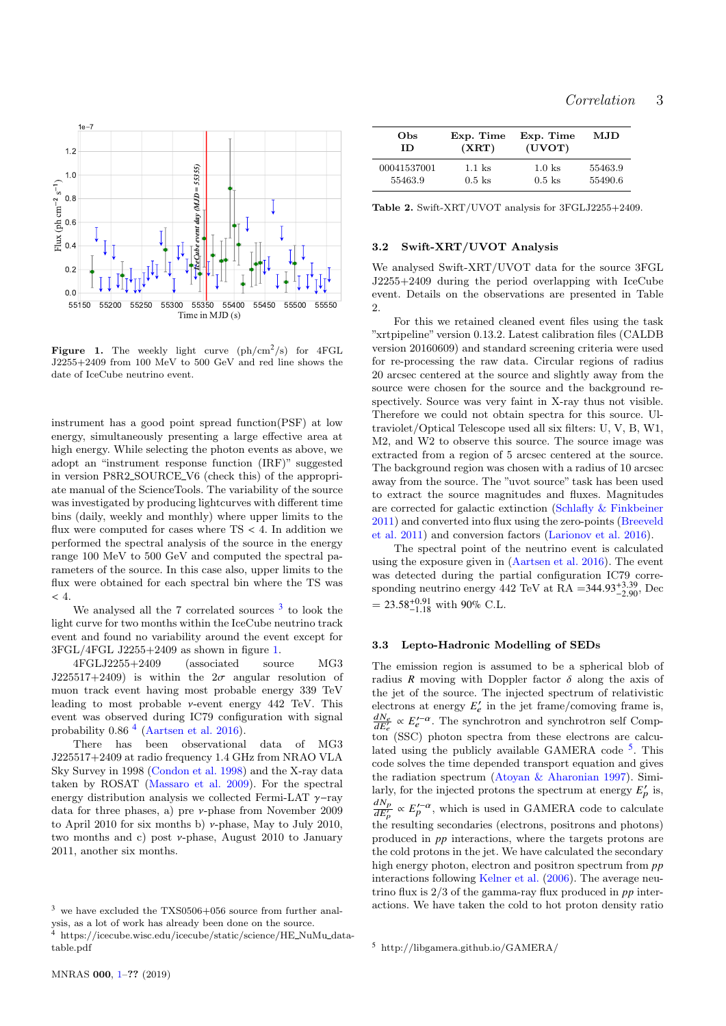

<span id="page-2-1"></span>Figure 1. The weekly light curve  $(ph/cm^2/s)$  for  $4FGL$ J2255+2409 from 100 MeV to 500 GeV and red line shows the date of IceCube neutrino event.

instrument has a good point spread function(PSF) at low energy, simultaneously presenting a large effective area at high energy. While selecting the photon events as above, we adopt an "instrument response function (IRF)" suggested in version P8R2 SOURCE V6 (check this) of the appropriate manual of the ScienceTools. The variability of the source was investigated by producing lightcurves with different time bins (daily, weekly and monthly) where upper limits to the flux were computed for cases where  $TS < 4$ . In addition we performed the spectral analysis of the source in the energy range 100 MeV to 500 GeV and computed the spectral parameters of the source. In this case also, upper limits to the flux were obtained for each spectral bin where the TS was  $< 4.$ 

We analysed all the  $7$  correlated sources  $3$  to look the light curve for two months within the IceCube neutrino track event and found no variability around the event except for 3FGL/4FGL J2255+2409 as shown in figure [1.](#page-2-1)

4FGLJ2255+2409 (associated source MG3 J225517+2409) is within the  $2\sigma$  angular resolution of muon track event having most probable energy 339 TeV leading to most probable  $\nu$ -event energy 442 TeV. This event was observed during IC79 configuration with signal probability 0.86 [4](#page-2-2) [\(Aartsen et al.](#page-4-17) [2016\)](#page-4-17).

There has been observational data of MG3 J225517+2409 at radio frequency 1.4 GHz from NRAO VLA Sky Survey in 1998 [\(Condon et al.](#page-4-21) [1998\)](#page-4-21) and the X-ray data taken by ROSAT [\(Massaro et al.](#page-4-22) [2009\)](#page-4-22). For the spectral energy distribution analysis we collected Fermi-LAT  $\gamma$ -ray data for three phases, a) pre ν-phase from November 2009 to April 2010 for six months b)  $\nu$ -phase, May to July 2010, two months and c) post ν-phase, August 2010 to January 2011, another six months.

| Obs         | Exp. Time | Exp. Time | MJD.    |
|-------------|-----------|-----------|---------|
| ΙD          | (XRT)     | (UVOT)    |         |
| 00041537001 | $1.1$ ks  | $1.0$ ks  | 55463.9 |
| 55463.9     | $0.5$ ks  | $0.5$ ks  | 55490.6 |

Table 2. Swift-XRT/UVOT analysis for 3FGLJ2255+2409.

## 3.2 Swift-XRT/UVOT Analysis

We analysed Swift-XRT/UVOT data for the source 3FGL J2255+2409 during the period overlapping with IceCube event. Details on the observations are presented in Table 2.

For this we retained cleaned event files using the task "xrtpipeline" version 0.13.2. Latest calibration files (CALDB version 20160609) and standard screening criteria were used for re-processing the raw data. Circular regions of radius 20 arcsec centered at the source and slightly away from the source were chosen for the source and the background respectively. Source was very faint in X-ray thus not visible. Therefore we could not obtain spectra for this source. Ultraviolet/Optical Telescope used all six filters: U, V, B, W1, M2, and W2 to observe this source. The source image was extracted from a region of 5 arcsec centered at the source. The background region was chosen with a radius of 10 arcsec away from the source. The "uvot source" task has been used to extract the source magnitudes and fluxes. Magnitudes are corrected for galactic extinction [\(Schlafly & Finkbeiner](#page-4-23) [2011\)](#page-4-23) and converted into flux using the zero-points [\(Breeveld](#page-4-24) [et al.](#page-4-24) [2011\)](#page-4-24) and conversion factors [\(Larionov et al.](#page-4-25) [2016\)](#page-4-25).

The spectral point of the neutrino event is calculated using the exposure given in [\(Aartsen et al.](#page-4-17) [2016\)](#page-4-17). The event was detected during the partial configuration IC79 corresponding neutrino energy 442 TeV at RA =  $344.93^{+3.39}_{-2.90}$ , Dec –  $23.58^{+0.91}$  with  $90\%$  C I  $= 23.58_{-1.18}^{+0.91}$  with 90% C.L.

## 3.3 Lepto-Hadronic Modelling of SEDs

The emission region is assumed to be a spherical blob of radius *R* moving with Doppler factor  $\delta$  along the axis of the jet of the source. The injected spectrum of relativistic electrons at energy  $E'_{e}$  in the jet frame/comoving frame is,  $\frac{dN_e}{dE_e'} \propto E_e'^{-\alpha}$ . The synchrotron and synchrotron self Compton (SSC) photon spectra from these electrons are calcu-lated using the publicly available GAMERA code<sup>[5](#page-2-3)</sup>. This code solves the time depended transport equation and gives the radiation spectrum [\(Atoyan & Aharonian](#page-4-26) [1997\)](#page-4-26). Similarly, for the injected protons the spectrum at energy  $E'_p$  is,  $\frac{dN_p}{dE'_p} \propto E'_p^{-\alpha}$ , which is used in GAMERA code to calculate the resulting secondaries (electrons, positrons and photons) produced in *pp* interactions, where the targets protons are the cold protons in the jet. We have calculated the secondary high energy photon, electron and positron spectrum from *pp* interactions following [Kelner et al.](#page-4-27) [\(2006\)](#page-4-27). The average neutrino flux is 2/3 of the gamma-ray flux produced in *pp* interactions. We have taken the cold to hot proton density ratio

<span id="page-2-0"></span> $3\,$  we have excluded the TXS0506+056 source from further analysis, as a lot of work has already been done on the source.

<span id="page-2-2"></span> $^4\,$ https://icecube.wisc.edu/icecube/static/science/HE\_NuMu\_datatable.pdf

<span id="page-2-3"></span><sup>5</sup> http://libgamera.github.io/GAMERA/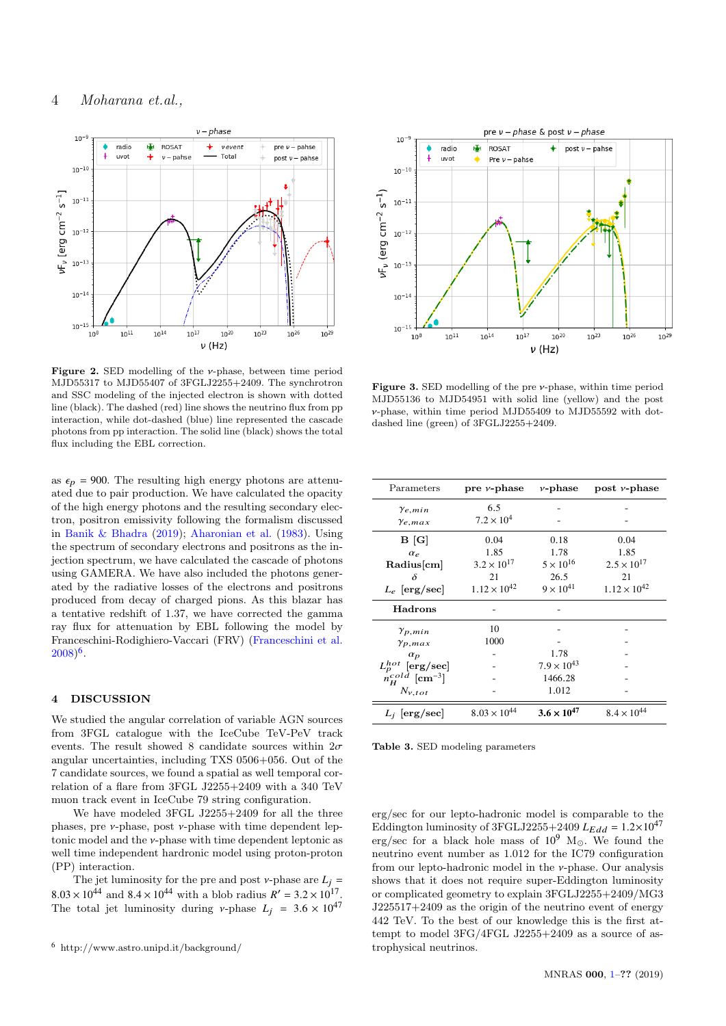## 4 Moharana et.al.,



Figure 2. SED modelling of the ν-phase, between time period MJD55317 to MJD55407 of 3FGLJ2255+2409. The synchrotron and SSC modeling of the injected electron is shown with dotted line (black). The dashed (red) line shows the neutrino flux from pp interaction, while dot-dashed (blue) line represented the cascade photons from pp interaction. The solid line (black) shows the total flux including the EBL correction.

as  $\epsilon_p$  = 900. The resulting high energy photons are attenuated due to pair production. We have calculated the opacity of the high energy photons and the resulting secondary electron, positron emissivity following the formalism discussed in [Banik & Bhadra](#page-4-13) [\(2019\)](#page-4-13); [Aharonian et al.](#page-4-28) [\(1983\)](#page-4-28). Using the spectrum of secondary electrons and positrons as the injection spectrum, we have calculated the cascade of photons using GAMERA. We have also included the photons generated by the radiative losses of the electrons and positrons produced from decay of charged pions. As this blazar has a tentative redshift of 1.37, we have corrected the gamma ray flux for attenuation by EBL following the model by Franceschini-Rodighiero-Vaccari (FRV) [\(Franceschini et al.](#page-4-29)  $(2008)^6$  $(2008)^6$  $(2008)^6$  $(2008)^6$ .

## 4 DISCUSSION

We studied the angular correlation of variable AGN sources from 3FGL catalogue with the IceCube TeV-PeV track events. The result showed 8 candidate sources within  $2\sigma$ angular uncertainties, including TXS 0506+056. Out of the 7 candidate sources, we found a spatial as well temporal correlation of a flare from 3FGL J2255+2409 with a 340 TeV muon track event in IceCube 79 string configuration.

We have modeled 3FGL J2255+2409 for all the three phases, pre  $\nu$ -phase, post  $\nu$ -phase with time dependent leptonic model and the ν-phase with time dependent leptonic as well time independent hardronic model using proton-proton (PP) interaction.

The jet luminosity for the pre and post  $\nu$ -phase are  $L_j$  =  $8.03 \times 10^{44}$  and  $8.4 \times 10^{44}$  with a blob radius  $R' = 3.2 \times 10^{17}$ .<br>The total jet luminosity during v-phase  $I = 3.6 \times 10^{47}$ The total jet luminosity during *v*-phase  $L_j = 3.6 \times 10^{47}$ 



**Figure 3.** SED modelling of the pre  $\nu$ -phase, within time period MJD55136 to MJD54951 with solid line (yellow) and the post ν-phase, within time period MJD55409 to MJD55592 with dotdashed line (green) of 3FGLJ2255+2409.

| Parameters                       | pre $\nu$ -phase      | $\nu$ -phase         | post $\nu$ -phase     |
|----------------------------------|-----------------------|----------------------|-----------------------|
| $\gamma_{e,min}$                 | 6.5                   |                      |                       |
| $\gamma_{e,max}$                 | $7.2 \times 10^{4}$   |                      |                       |
| B[G]                             | 0.04                  | 0.18                 | 0.04                  |
| $\alpha_{\rho}$                  | 1.85                  | 1.78                 | 1.85                  |
| Radius[cm]                       | $3.2 \times 10^{17}$  | $5 \times 10^{16}$   | $2.5 \times 10^{17}$  |
| δ                                | 21                    | 26.5                 | 21                    |
| $L_e$ [erg/sec]                  | $1.12 \times 10^{42}$ | $9 \times 10^{41}$   | $1.12 \times 10^{42}$ |
| <b>Hadrons</b>                   |                       |                      |                       |
| $\gamma_{p,min}$                 | 10                    |                      |                       |
| $\gamma_{p,max}$                 | 1000                  |                      |                       |
| $\alpha_p$                       |                       | 1.78                 |                       |
| $L_p^{hot}$ [erg/sec]            |                       | $7.9 \times 10^{43}$ |                       |
| $n_H^{cold}$ [cm <sup>-3</sup> ] |                       | 1466.28              |                       |
| $N_{v,tot}$                      |                       | 1.012                |                       |
| $L_i$ [erg/sec]                  | $8.03 \times 10^{44}$ | $3.6 \times 10^{47}$ | $8.4 \times 10^{44}$  |

Table 3. SED modeling parameters

erg/sec for our lepto-hadronic model is comparable to the Eddington luminosity of 3FGLJ2255+2409  $L_{Edd} = 1.2 \times 10^{47}$ erg/sec for a black hole mass of  $10^9$  M<sub>o</sub>. We found the neutrino event number as 1.012 for the IC79 configuration from our lepto-hadronic model in the ν-phase. Our analysis shows that it does not require super-Eddington luminosity or complicated geometry to explain 3FGLJ2255+2409/MG3 J225517+2409 as the origin of the neutrino event of energy 442 TeV. To the best of our knowledge this is the first attempt to model 3FG/4FGL J2255+2409 as a source of astrophysical neutrinos.

<span id="page-3-0"></span><sup>6</sup> http://www.astro.unipd.it/background/